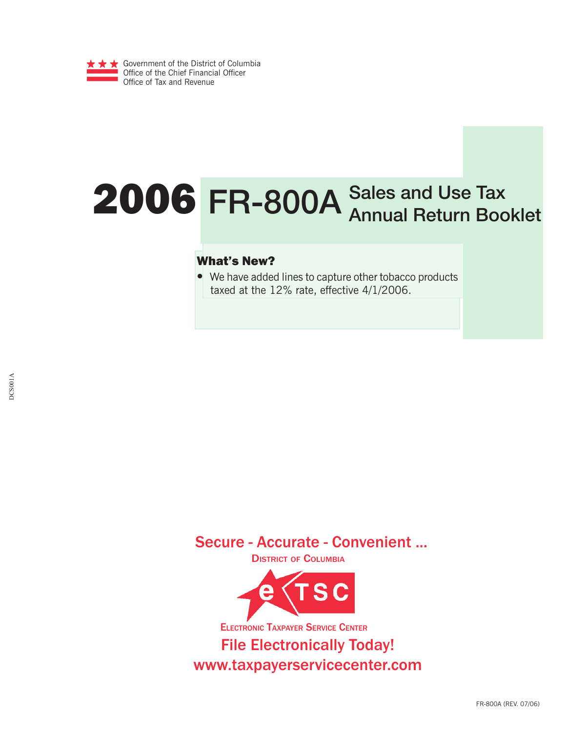

# 2006 **FR-800A Sales and Use Tax Annual Return Booklet**

## What's New?

• We have added lines to capture other tobacco products taxed at the 12% rate, effective 4/1/2006.

Secure - Accurate - Convenient ...

DISTRICT OF COLUMBIA



ELECTRONIC TAXPAYER SERVICE CENTER

File Electronically Today! www.taxpayerservicecenter.com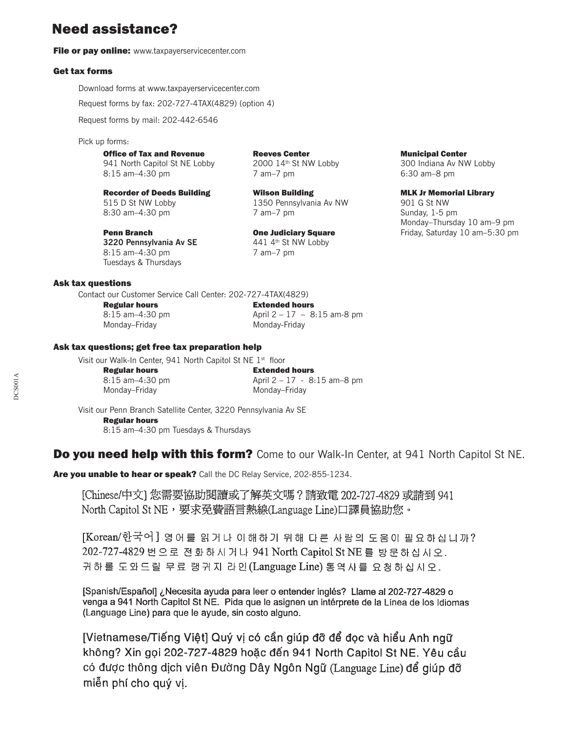## Need assistance?

File or pay online: www.taxpayerservicecenter.com

#### Get tax forms

 Download forms at www.taxpayerservicecenter.com Request forms by fax: 202-727-4TAX(4829) (option 4)

Request forms by mail: 202-442-6546

Pick up forms:

**Office of Tax and Revenue Reeves Center Center Municipal Center All North Capitol St NE Lobby 2000 14th St NW Lobby 300 Indiana Av NV** 941 North Capitol St NE Lobby 2000 14th St NW Lobby 300 Indiana Av NW Lobby 8:15 am–4:30 pm 7 am–7 pm 6:30 am–8 pm

Recorder of Deeds Building Milson Building MLK Jr Memorial Library 515 D St NW Lobby 1350 Pennsylvania Av NW 901 G St NW 8:30 am–4:30 pm 7 am–7 pm 7 am–7 pm Sunday, 1-5 pm

**3220 Pennsylvania Av SE** 441 4<sup>th</sup> St NW Lobby

Tuesdays & Thursdays

8:15 am–4:30 pm 7 am–7 pm

Monday–Thursday 10 am–9 pm **Penn Branch Cone Judiciary Square** Friday, Saturday 10 am–5:30 pm

#### Ask tax questions

Contact our Customer Service Call Center: 202-727-4TAX(4829)

Monday–Friday Monday-Friday

 Regular hours Extended hours 8:15 am-4:30 pm <br>
April 2 - 17 - 8:15 am-8 pm

#### Ask tax questions; get free tax preparation help

Visit our Walk-In Center, 941 North Capitol St NE 1<sup>st</sup> floor Regular hours Extended hours 8:15 am-4:30 pm April 2 - 17 - 8:15 am-8 pm Monday–Friday Monday–Friday

Visit our Penn Branch Satellite Center, 3220 Pennsylvania Av SE Regular hours 8:15 am–4:30 pm Tuesdays & Thursdays

## Do you need help with this form? Come to our Walk-In Center, at 941 North Capitol St NE.

Are you unable to hear or speak? Call the DC Relay Service, 202-855-1234.

[Chinese/中文] 您需要協助閱讀或了解英文嗎? 請致電 202-727-4829 或請到 941 North Capitol St NE, 要求免費語言熱線(Language Line)口譯員協助您。

[Korean/한국어] 영어를 읽거나 이해하기 위해 다른 사람의 도움이 필요하십니까? 202-727-4829 번 으로 전화하시거나 941 North Capitol St NE 를 방문하십시오. 귀하를 도와드릴 무료 랭귀지 라인(Language Line) 통역사를 요청하십시오.

[Spanish/Español] ¿Necesita ayuda para leer o entender inglés? Llame al 202-727-4829 o venga a 941 North Capitol St NE. Pida que le asignen un intérprete de la Línea de los Idiomas (Language Line) para que le ayude, sin costo alguno.

[Vietnamese/Tiếng Việt] Quý vị có cần giúp đỡ để đọc và hiểu Anh ngữ không? Xin gọi 202-727-4829 hoặc đến 941 North Capitol St NE. Yêu cầu có được thông dịch viên Đường Dây Ngôn Ngữ (Language Line) để giúp đỡ miễn phí cho quý vi.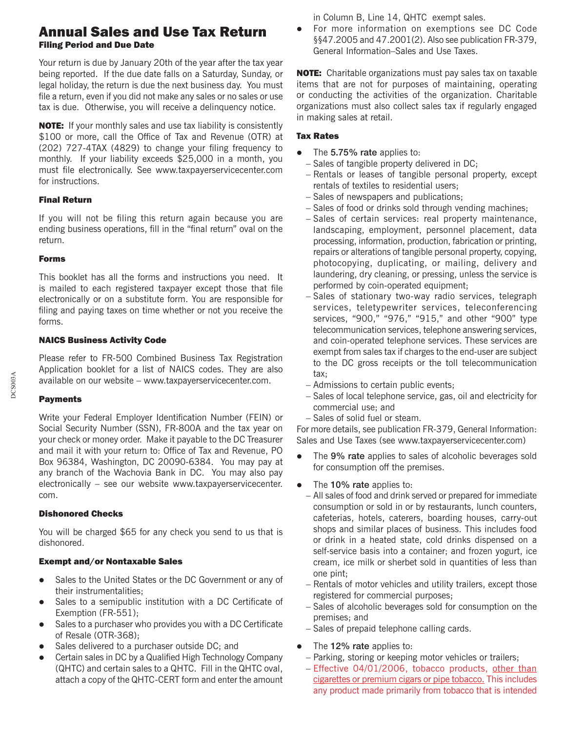## Annual Sales and Use Tax Return Filing Period and Due Date

Your return is due by January 20th of the year after the tax year being reported. If the due date falls on a Saturday, Sunday, or legal holiday, the return is due the next business day. You must file a return, even if you did not make any sales or no sales or use tax is due. Otherwise, you will receive a delinquency notice.

NOTE: If your monthly sales and use tax liability is consistently \$100 or more, call the Office of Tax and Revenue (OTR) at (202) 727-4TAX (4829) to change your filing frequency to monthly. If your liability exceeds \$25,000 in a month, you must file electronically. See www.taxpayerservicecenter.com for instructions.

## Final Return

If you will not be filing this return again because you are ending business operations, fill in the "final return" oval on the return.

## Forms

This booklet has all the forms and instructions you need. It is mailed to each registered taxpayer except those that file electronically or on a substitute form. You are responsible for filing and paying taxes on time whether or not you receive the forms.

## NAICS Business Activity Code

Please refer to FR-500 Combined Business Tax Registration Application booklet for a list of NAICS codes. They are also available on our website – www.taxpayerservicecenter.com.

## Payments

Write your Federal Employer Identification Number (FEIN) or Social Security Number (SSN), FR-800A and the tax year on your check or money order. Make it payable to the DC Treasurer and mail it with your return to: Office of Tax and Revenue, PO Box 96384, Washington, DC 20090-6384. You may pay at any branch of the Wachovia Bank in DC. You may also pay electronically – see our website www.taxpayerservicecenter. com.

## Dishonored Checks

You will be charged \$65 for any check you send to us that is dishonored.

## Exempt and/or Nontaxable Sales

- Sales to the United States or the DC Government or any of their instrumentalities;
- Sales to a semipublic institution with a DC Certificate of Exemption (FR-551);
- Sales to a purchaser who provides you with a DC Certificate of Resale (OTR-368);
- Sales delivered to a purchaser outside DC; and
- Certain sales in DC by a Qualified High Technology Company (QHTC) and certain sales to a QHTC. Fill in the QHTC oval, attach a copy of the QHTC-CERT form and enter the amount

in Column B, Line 14, QHTC exempt sales.

For more information on exemptions see DC Code §§47.2005 and 47.2001(2). Also see publication FR-379, General Information–Sales and Use Taxes.

NOTE: Charitable organizations must pay sales tax on taxable items that are not for purposes of maintaining, operating or conducting the activities of the organization. Charitable organizations must also collect sales tax if regularly engaged in making sales at retail.

## Tax Rates

- The **5.75% rate** applies to:
	- − Sales of tangible property delivered in DC;
	- − Rentals or leases of tangible personal property, except rentals of textiles to residential users;
	- − Sales of newspapers and publications;
	- − Sales of food or drinks sold through vending machines;
	- − Sales of certain services: real property maintenance, landscaping, employment, personnel placement, data processing, information, production, fabrication or printing, repairs or alterations of tangible personal property, copying, photocopying, duplicating, or mailing, delivery and laundering, dry cleaning, or pressing, unless the service is performed by coin-operated equipment;
	- − Sales of stationary two-way radio services, telegraph services, teletypewriter services, teleconferencing services, "900," "976," "915," and other "900" type telecommunication services, telephone answering services, and coin-operated telephone services. These services are exempt from sales tax if charges to the end-user are subject to the DC gross receipts or the toll telecommunication tax;
	- − Admissions to certain public events;
	- − Sales of local telephone service, gas, oil and electricity for commercial use; and
	- − Sales of solid fuel or steam.

For more details, see publication FR-379, General Information: Sales and Use Taxes (see www.taxpayerservicecenter.com)

- The 9% rate applies to sales of alcoholic beverages sold for consumption off the premises.
- z The **10% rate** applies to:
	- − All sales of food and drink served or prepared for immediate consumption or sold in or by restaurants, lunch counters, cafeterias, hotels, caterers, boarding houses, carry-out shops and similar places of business. This includes food or drink in a heated state, cold drinks dispensed on a self-service basis into a container; and frozen yogurt, ice cream, ice milk or sherbet sold in quantities of less than one pint;
	- − Rentals of motor vehicles and utility trailers, except those registered for commercial purposes;
	- − Sales of alcoholic beverages sold for consumption on the premises; and
	- − Sales of prepaid telephone calling cards.
- The **12% rate** applies to:
	- − Parking, storing or keeping motor vehicles or trailers;
	- − Effective 04/01/2006, tobacco products, other than cigarettes or premium cigars or pipe tobacco. This includes any product made primarily from tobacco that is intended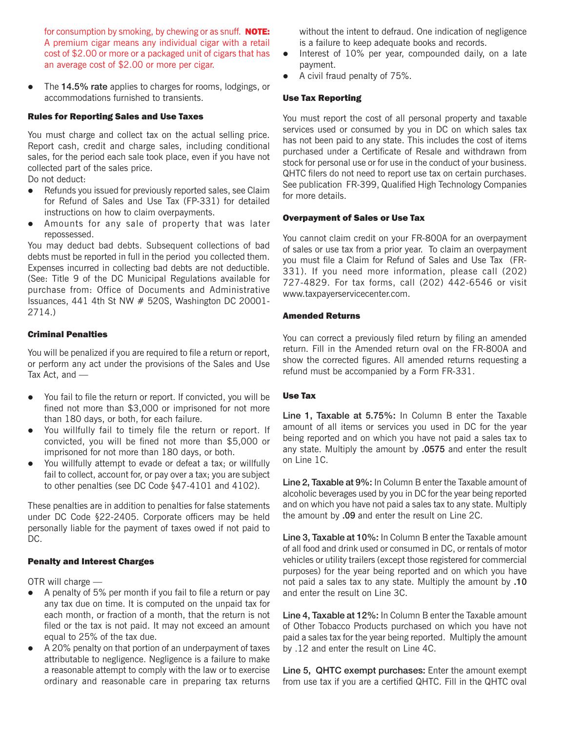for consumption by smoking, by chewing or as snuff. **NOTE:** A premium cigar means any individual cigar with a retail cost of \$2.00 or more or a packaged unit of cigars that has an average cost of \$2.00 or more per cigar.

• The 14.5% rate applies to charges for rooms, lodgings, or accommodations furnished to transients.

#### Rules for Reporting Sales and Use Taxes

You must charge and collect tax on the actual selling price. Report cash, credit and charge sales, including conditional sales, for the period each sale took place, even if you have not collected part of the sales price.

Do not deduct:

- Refunds you issued for previously reported sales, see Claim for Refund of Sales and Use Tax (FP-331) for detailed instructions on how to claim overpayments.
- Amounts for any sale of property that was later repossessed.

You may deduct bad debts. Subsequent collections of bad debts must be reported in full in the period you collected them. Expenses incurred in collecting bad debts are not deductible. (See: Title 9 of the DC Municipal Regulations available for purchase from: Office of Documents and Administrative Issuances, 441 4th St NW # 520S, Washington DC 20001- 2714.)

#### Criminal Penalties

You will be penalized if you are required to file a return or report, or perform any act under the provisions of the Sales and Use Tax Act, and —

- You fail to file the return or report. If convicted, you will be fined not more than \$3,000 or imprisoned for not more than 180 days, or both, for each failure.
- You willfully fail to timely file the return or report. If convicted, you will be fined not more than \$5,000 or imprisoned for not more than 180 days, or both.
- You willfully attempt to evade or defeat a tax; or willfully fail to collect, account for, or pay over a tax; you are subject to other penalties (see DC Code §47-4101 and 4102).

These penalties are in addition to penalties for false statements under DC Code §22-2405. Corporate officers may be held personally liable for the payment of taxes owed if not paid to DC.

#### Penalty and Interest Charges

OTR will charge —

- $\bullet$  A penalty of 5% per month if you fail to file a return or pay any tax due on time. It is computed on the unpaid tax for each month, or fraction of a month, that the return is not filed or the tax is not paid. It may not exceed an amount equal to 25% of the tax due.
- A 20% penalty on that portion of an underpayment of taxes attributable to negligence. Negligence is a failure to make a reasonable attempt to comply with the law or to exercise ordinary and reasonable care in preparing tax returns

without the intent to defraud. One indication of negligence is a failure to keep adequate books and records.

- $\bullet$  Interest of 10% per year, compounded daily, on a late payment.
- A civil fraud penalty of 75%.

#### Use Tax Reporting

You must report the cost of all personal property and taxable services used or consumed by you in DC on which sales tax has not been paid to any state. This includes the cost of items purchased under a Certificate of Resale and withdrawn from stock for personal use or for use in the conduct of your business. QHTC filers do not need to report use tax on certain purchases. See publication FR-399, Qualified High Technology Companies for more details.

#### Overpayment of Sales or Use Tax

You cannot claim credit on your FR-800A for an overpayment of sales or use tax from a prior year. To claim an overpayment you must file a Claim for Refund of Sales and Use Tax (FR-331). If you need more information, please call (202) 727-4829. For tax forms, call (202) 442-6546 or visit www.taxpayerservicecenter.com.

#### Amended Returns

You can correct a previously filed return by filing an amended return. Fill in the Amended return oval on the FR-800A and show the corrected figures. All amended returns requesting a refund must be accompanied by a Form FR-331.

#### Use Tax

**Line 1, Taxable at 5.75%:** In Column B enter the Taxable amount of all items or services you used in DC for the year being reported and on which you have not paid a sales tax to any state. Multiply the amount by **.0575** and enter the result on Line 1C.

**Line 2, Taxable at 9%:** In Column B enter the Taxable amount of alcoholic beverages used by you in DC for the year being reported and on which you have not paid a sales tax to any state. Multiply the amount by **.09** and enter the result on Line 2C.

**Line 3, Taxable at 10%:** In Column B enter the Taxable amount of all food and drink used or consumed in DC, or rentals of motor vehicles or utility trailers (except those registered for commercial purposes) for the year being reported and on which you have not paid a sales tax to any state. Multiply the amount by **.10** and enter the result on Line 3C.

**Line 4, Taxable at 12%:** In Column B enter the Taxable amount of Other Tobacco Products purchased on which you have not paid a sales tax for the year being reported. Multiply the amount by .12 and enter the result on Line 4C.

**Line 5, QHTC exempt purchases:** Enter the amount exempt from use tax if you are a certified QHTC. Fill in the QHTC oval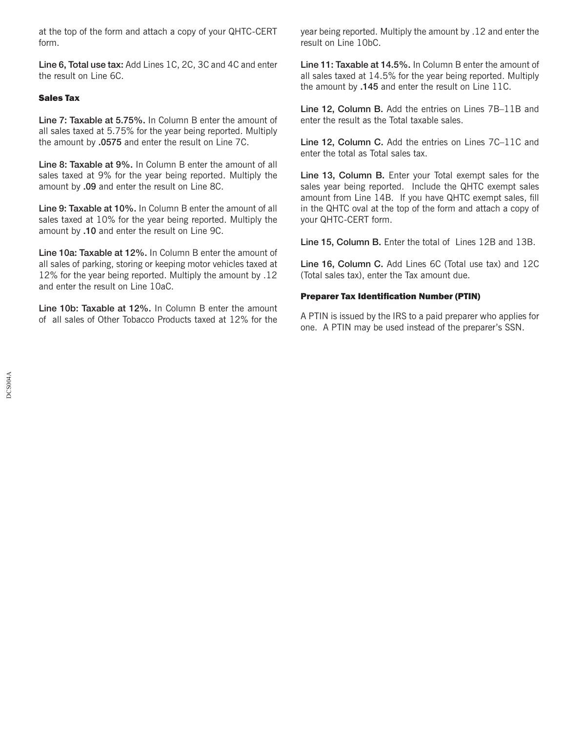at the top of the form and attach a copy of your QHTC-CERT form.

**Line 6, Total use tax:** Add Lines 1C, 2C, 3C and 4C and enter the result on Line 6C.

### Sales Tax

**Line 7: Taxable at 5.75%.** In Column B enter the amount of all sales taxed at 5.75% for the year being reported. Multiply the amount by **.0575** and enter the result on Line 7C.

**Line 8: Taxable at 9%.** In Column B enter the amount of all sales taxed at 9% for the year being reported. Multiply the amount by **.09** and enter the result on Line 8C.

**Line 9: Taxable at 10%.** In Column B enter the amount of all sales taxed at 10% for the year being reported. Multiply the amount by **.10** and enter the result on Line 9C.

**Line 10a: Taxable at 12%.** In Column B enter the amount of all sales of parking, storing or keeping motor vehicles taxed at 12% for the year being reported. Multiply the amount by .12 and enter the result on Line 10aC.

**Line 10b: Taxable at 12%.** In Column B enter the amount of all sales of Other Tobacco Products taxed at 12% for the

year being reported. Multiply the amount by .12 and enter the result on Line 10bC.

**Line 11: Taxable at 14.5%.** In Column B enter the amount of all sales taxed at 14.5% for the year being reported. Multiply the amount by **.145** and enter the result on Line 11C.

**Line 12, Column B.** Add the entries on Lines 7B–11B and enter the result as the Total taxable sales.

**Line 12, Column C.** Add the entries on Lines 7C–11C and enter the total as Total sales tax.

**Line 13, Column B.** Enter your Total exempt sales for the sales year being reported. Include the QHTC exempt sales amount from Line 14B. If you have QHTC exempt sales, fill in the QHTC oval at the top of the form and attach a copy of your QHTC-CERT form.

**Line 15, Column B.** Enter the total of Lines 12B and 13B.

**Line 16, Column C.** Add Lines 6C (Total use tax) and 12C (Total sales tax), enter the Tax amount due.

## **Preparer Tax Identification Number (PTIN)**

A PTIN is issued by the IRS to a paid preparer who applies for one. A PTIN may be used instead of the preparer's SSN.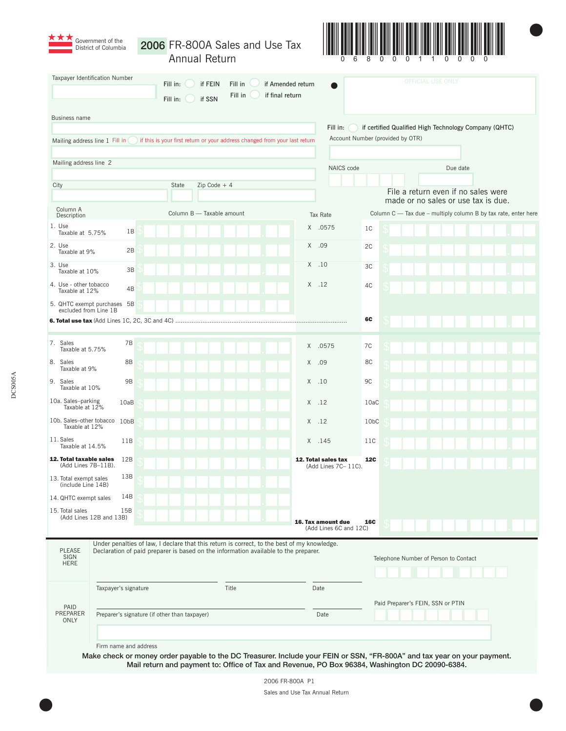|                                                                                                                                           | District of Columbia                                                                        |      |       | Annual Return                         |       |  | 2006 FR-800A Sales and Use Tax                                             |                                              |                   |                                                                |                          |                                                                            |  |  |  |
|-------------------------------------------------------------------------------------------------------------------------------------------|---------------------------------------------------------------------------------------------|------|-------|---------------------------------------|-------|--|----------------------------------------------------------------------------|----------------------------------------------|-------------------|----------------------------------------------------------------|--------------------------|----------------------------------------------------------------------------|--|--|--|
| Taxpayer Identification Number<br>if FEIN<br>if Amended return<br>Fill in:<br>Fill in<br>Fill in<br>if final return<br>if SSN<br>Fill in: |                                                                                             |      |       |                                       |       |  |                                                                            |                                              |                   |                                                                | <b>OFFICIAL USE ONLY</b> |                                                                            |  |  |  |
| Business name                                                                                                                             |                                                                                             |      |       |                                       |       |  |                                                                            |                                              |                   |                                                                |                          |                                                                            |  |  |  |
|                                                                                                                                           |                                                                                             |      |       |                                       |       |  |                                                                            | Fill in:<br>Account Number (provided by OTR) |                   | if certified Qualified High Technology Company (QHTC)          |                          |                                                                            |  |  |  |
|                                                                                                                                           | Mailing address line 1 Fill in                                                              |      |       |                                       |       |  | if this is your first return or your address changed from your last return |                                              |                   |                                                                |                          |                                                                            |  |  |  |
| Mailing address line 2                                                                                                                    |                                                                                             |      |       |                                       |       |  |                                                                            | NAICS code                                   |                   |                                                                | Due date                 |                                                                            |  |  |  |
| City                                                                                                                                      |                                                                                             |      | State | $Zip Code + 4$                        |       |  |                                                                            |                                              |                   |                                                                |                          |                                                                            |  |  |  |
|                                                                                                                                           |                                                                                             |      |       |                                       |       |  |                                                                            |                                              |                   |                                                                |                          | File a return even if no sales were<br>made or no sales or use tax is due. |  |  |  |
| Column A<br>Description                                                                                                                   |                                                                                             |      |       | Column B - Taxable amount             |       |  |                                                                            | Tax Rate                                     |                   | Column C - Tax due - multiply column B by tax rate, enter here |                          |                                                                            |  |  |  |
| 1. Use<br>Taxable at 5.75%                                                                                                                | 1B                                                                                          |      |       |                                       |       |  |                                                                            | X .0575                                      | 1C                |                                                                |                          |                                                                            |  |  |  |
| 2. Use<br>Taxable at 9%                                                                                                                   | 2B                                                                                          |      |       |                                       |       |  |                                                                            | X .09                                        | 2C                |                                                                |                          |                                                                            |  |  |  |
| 3. Use<br>Taxable at 10%                                                                                                                  | 3B                                                                                          |      |       |                                       |       |  |                                                                            | $X$ .10                                      | 3C                |                                                                |                          |                                                                            |  |  |  |
| 4. Use - other tobacco<br>Taxable at 12%                                                                                                  | 4B                                                                                          |      |       |                                       |       |  |                                                                            | $X$ .12                                      | 4C                |                                                                |                          |                                                                            |  |  |  |
| excluded from Line 1B                                                                                                                     | 5. QHTC exempt purchases 5B                                                                 |      |       |                                       |       |  |                                                                            |                                              |                   |                                                                |                          |                                                                            |  |  |  |
|                                                                                                                                           |                                                                                             |      |       |                                       |       |  |                                                                            |                                              | 6C                |                                                                |                          |                                                                            |  |  |  |
| 7. Sales<br>Taxable at 5.75%                                                                                                              | 7B                                                                                          |      |       |                                       |       |  | X                                                                          | .0575                                        | 7C                |                                                                |                          |                                                                            |  |  |  |
| 8. Sales<br>Taxable at 9%                                                                                                                 | 8B                                                                                          |      |       |                                       |       |  | X                                                                          | .09                                          | 8C                |                                                                |                          |                                                                            |  |  |  |
| 9. Sales<br>Taxable at 10%                                                                                                                | <b>9B</b>                                                                                   |      |       |                                       |       |  |                                                                            | $X$ .10                                      | 9C                |                                                                |                          |                                                                            |  |  |  |
| 10a. Sales-parking<br>Taxable at 12%                                                                                                      | 10aB                                                                                        |      |       |                                       |       |  |                                                                            | $X$ .12                                      | 10aC              |                                                                |                          |                                                                            |  |  |  |
| 10b. Sales-other tobacco 10bB<br>Taxable at 12%                                                                                           |                                                                                             |      |       |                                       |       |  |                                                                            | $X$ .12                                      | 10 <sub>b</sub> C |                                                                |                          |                                                                            |  |  |  |
| 11. Sales<br>Taxable at 14.5%                                                                                                             | 11B                                                                                         |      |       |                                       |       |  |                                                                            | X .145                                       | 11C               |                                                                |                          |                                                                            |  |  |  |
| 12. Total taxable sales<br>(Add Lines 7B-11B).                                                                                            | 12B                                                                                         |      |       |                                       |       |  |                                                                            | 12. Total sales tax<br>(Add Lines 7C- 11C).  | <b>12C</b>        |                                                                |                          |                                                                            |  |  |  |
| 13. Total exempt sales<br>(include Line 14B)                                                                                              | 13B                                                                                         |      |       |                                       |       |  |                                                                            |                                              |                   |                                                                |                          |                                                                            |  |  |  |
| 14. QHTC exempt sales                                                                                                                     | 14B                                                                                         |      |       |                                       |       |  |                                                                            |                                              |                   |                                                                |                          |                                                                            |  |  |  |
| 15. Total sales                                                                                                                           | 15B<br>(Add Lines 12B and 13B)                                                              |      |       |                                       |       |  |                                                                            | 16. Tax amount due<br>(Add Lines 6C and 12C) | <b>16C</b>        |                                                                |                          |                                                                            |  |  |  |
|                                                                                                                                           | Under penalties of law, I declare that this return is correct, to the best of my knowledge. |      |       |                                       |       |  |                                                                            |                                              |                   |                                                                |                          |                                                                            |  |  |  |
| <b>PLEASE</b><br>SIGN                                                                                                                     | Declaration of paid preparer is based on the information available to the preparer.         |      |       | Telephone Number of Person to Contact |       |  |                                                                            |                                              |                   |                                                                |                          |                                                                            |  |  |  |
| <b>HERE</b>                                                                                                                               |                                                                                             |      |       |                                       |       |  |                                                                            |                                              |                   |                                                                |                          |                                                                            |  |  |  |
|                                                                                                                                           | Taxpayer's signature                                                                        |      |       |                                       | Title |  |                                                                            | Date                                         |                   |                                                                |                          |                                                                            |  |  |  |
| PAID                                                                                                                                      |                                                                                             |      |       | Paid Preparer's FEIN, SSN or PTIN     |       |  |                                                                            |                                              |                   |                                                                |                          |                                                                            |  |  |  |
| PREPARER<br>ONLY                                                                                                                          | Preparer's signature (if other than taxpayer)                                               | Date |       |                                       |       |  |                                                                            |                                              |                   |                                                                |                          |                                                                            |  |  |  |
|                                                                                                                                           |                                                                                             |      |       |                                       |       |  |                                                                            |                                              |                   |                                                                |                          |                                                                            |  |  |  |

Mail return and payment to: Office of Tax and Revenue, PO Box 96384, Washington DC 20090-6384.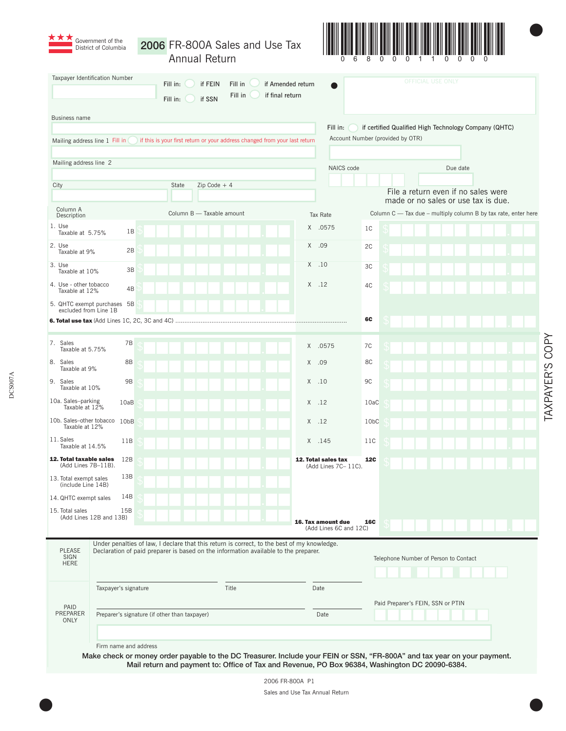|                                                                                                                                           | Government of the<br>District of Columbia                                                                                                                                          |  |       | Annual Return             |       |                                   | 2006 FR-800A Sales and Use Tax                                             |  |                                             |                   |                          |                                                                                                       |          |  |  |
|-------------------------------------------------------------------------------------------------------------------------------------------|------------------------------------------------------------------------------------------------------------------------------------------------------------------------------------|--|-------|---------------------------|-------|-----------------------------------|----------------------------------------------------------------------------|--|---------------------------------------------|-------------------|--------------------------|-------------------------------------------------------------------------------------------------------|----------|--|--|
| Taxpayer Identification Number<br>Fill in:<br>if FEIN<br>if Amended return<br>Fill in<br>Fill in<br>if final return<br>Fill in:<br>if SSN |                                                                                                                                                                                    |  |       |                           |       |                                   |                                                                            |  |                                             |                   | <b>OFFICIAL USE ONLY</b> |                                                                                                       |          |  |  |
| Business name                                                                                                                             |                                                                                                                                                                                    |  |       |                           |       |                                   |                                                                            |  |                                             |                   |                          |                                                                                                       |          |  |  |
|                                                                                                                                           |                                                                                                                                                                                    |  |       |                           |       |                                   |                                                                            |  | Fill in:                                    |                   |                          | if certified Qualified High Technology Company (QHTC)                                                 |          |  |  |
|                                                                                                                                           | Mailing address line 1 Fill in                                                                                                                                                     |  |       |                           |       |                                   | if this is your first return or your address changed from your last return |  | Account Number (provided by OTR)            |                   |                          |                                                                                                       |          |  |  |
| Mailing address line 2                                                                                                                    |                                                                                                                                                                                    |  |       |                           |       |                                   |                                                                            |  | NAICS code                                  |                   |                          |                                                                                                       | Due date |  |  |
|                                                                                                                                           |                                                                                                                                                                                    |  |       |                           |       |                                   |                                                                            |  |                                             |                   |                          |                                                                                                       |          |  |  |
| City                                                                                                                                      |                                                                                                                                                                                    |  | State | $Zip Code + 4$            |       |                                   |                                                                            |  |                                             |                   |                          | File a return even if no sales were                                                                   |          |  |  |
| Column A                                                                                                                                  |                                                                                                                                                                                    |  |       | Column B - Taxable amount |       |                                   |                                                                            |  | <b>Tax Rate</b>                             |                   |                          | made or no sales or use tax is due.<br>Column C - Tax due - multiply column B by tax rate, enter here |          |  |  |
| Description<br>1. Use                                                                                                                     |                                                                                                                                                                                    |  |       |                           |       |                                   |                                                                            |  | X .0575                                     | 1 <sup>C</sup>    |                          |                                                                                                       |          |  |  |
| Taxable at 5.75%<br>2. Use                                                                                                                | 1B                                                                                                                                                                                 |  |       |                           |       |                                   |                                                                            |  |                                             |                   |                          |                                                                                                       |          |  |  |
| Taxable at 9%                                                                                                                             | 2B                                                                                                                                                                                 |  |       |                           |       |                                   |                                                                            |  | X .09                                       | 2C                |                          |                                                                                                       |          |  |  |
| 3. Use<br>Taxable at 10%                                                                                                                  | 3B                                                                                                                                                                                 |  |       |                           |       |                                   |                                                                            |  | $X$ .10                                     | 3C                |                          |                                                                                                       |          |  |  |
| 4. Use - other tobacco<br>Taxable at 12%                                                                                                  | 4B                                                                                                                                                                                 |  |       |                           |       |                                   |                                                                            |  | $X$ 12                                      | 4C                |                          |                                                                                                       |          |  |  |
| excluded from Line 1B                                                                                                                     | 5. QHTC exempt purchases 5B                                                                                                                                                        |  |       |                           |       |                                   |                                                                            |  |                                             |                   |                          |                                                                                                       |          |  |  |
|                                                                                                                                           |                                                                                                                                                                                    |  |       |                           |       |                                   |                                                                            |  |                                             | 6C                |                          |                                                                                                       |          |  |  |
| 7. Sales                                                                                                                                  | 7B                                                                                                                                                                                 |  |       |                           |       |                                   |                                                                            |  | X .0575                                     | 7C                |                          |                                                                                                       |          |  |  |
| Taxable at 5.75%<br>8. Sales<br>Taxable at 9%                                                                                             | 8B                                                                                                                                                                                 |  |       |                           |       |                                   |                                                                            |  | $X$ .09                                     | 8C                |                          |                                                                                                       |          |  |  |
| 9. Sales<br>Taxable at 10%                                                                                                                | 9B                                                                                                                                                                                 |  |       |                           |       |                                   |                                                                            |  | $X$ .10                                     | 9C                |                          |                                                                                                       |          |  |  |
| 10a. Sales-parking<br>Taxable at 12%                                                                                                      | 10aB                                                                                                                                                                               |  |       |                           |       |                                   |                                                                            |  | $X$ .12                                     | 10aC              |                          |                                                                                                       |          |  |  |
| Taxable at 12%                                                                                                                            | 10b. Sales-other tobacco 10bB                                                                                                                                                      |  |       |                           |       |                                   |                                                                            |  | $X$ .12                                     | 10 <sub>b</sub> C |                          |                                                                                                       |          |  |  |
| 11. Sales<br>Taxable at 14.5%                                                                                                             | 11B                                                                                                                                                                                |  |       |                           |       |                                   |                                                                            |  | X .145                                      | 11C               |                          |                                                                                                       |          |  |  |
| 12. Total taxable sales<br>(Add Lines 7B-11B).                                                                                            | 12B                                                                                                                                                                                |  |       |                           |       |                                   |                                                                            |  | 12. Total sales tax<br>(Add Lines 7C- 11C). | <b>12C</b>        |                          |                                                                                                       |          |  |  |
| 13. Total exempt sales<br>(include Line 14B)                                                                                              | 13B                                                                                                                                                                                |  |       |                           |       |                                   |                                                                            |  |                                             |                   |                          |                                                                                                       |          |  |  |
| 14. QHTC exempt sales                                                                                                                     | 14B                                                                                                                                                                                |  |       |                           |       |                                   |                                                                            |  |                                             |                   |                          |                                                                                                       |          |  |  |
| 15. Total sales                                                                                                                           | 15B<br>(Add Lines 12B and 13B)                                                                                                                                                     |  |       |                           |       |                                   |                                                                            |  | 16. Tax amount due                          | <b>16C</b>        |                          |                                                                                                       |          |  |  |
|                                                                                                                                           |                                                                                                                                                                                    |  |       |                           |       |                                   |                                                                            |  | (Add Lines 6C and 12C)                      |                   |                          |                                                                                                       |          |  |  |
| PLEASE                                                                                                                                    | Under penalties of law, I declare that this return is correct, to the best of my knowledge.<br>Declaration of paid preparer is based on the information available to the preparer. |  |       |                           |       |                                   |                                                                            |  |                                             |                   |                          |                                                                                                       |          |  |  |
| SIGN<br><b>HERE</b>                                                                                                                       |                                                                                                                                                                                    |  |       |                           |       |                                   |                                                                            |  |                                             |                   |                          | Telephone Number of Person to Contact                                                                 |          |  |  |
|                                                                                                                                           |                                                                                                                                                                                    |  |       |                           |       |                                   |                                                                            |  |                                             |                   |                          |                                                                                                       |          |  |  |
|                                                                                                                                           | Taxpayer's signature                                                                                                                                                               |  |       |                           | Title |                                   |                                                                            |  | Date                                        |                   |                          |                                                                                                       |          |  |  |
| PAID<br>PREPARER<br>ONLY                                                                                                                  | Preparer's signature (if other than taxpayer)                                                                                                                                      |  | Date  |                           |       | Paid Preparer's FEIN, SSN or PTIN |                                                                            |  |                                             |                   |                          |                                                                                                       |          |  |  |
|                                                                                                                                           |                                                                                                                                                                                    |  |       |                           |       |                                   |                                                                            |  |                                             |                   |                          |                                                                                                       |          |  |  |

DCS007A

DCS007A

Mail return and payment to: Office of Tax and Revenue, PO Box 96384, Washington DC 20090-6384.

TAXPAYER'S COPY TAXPAYER'S COPY